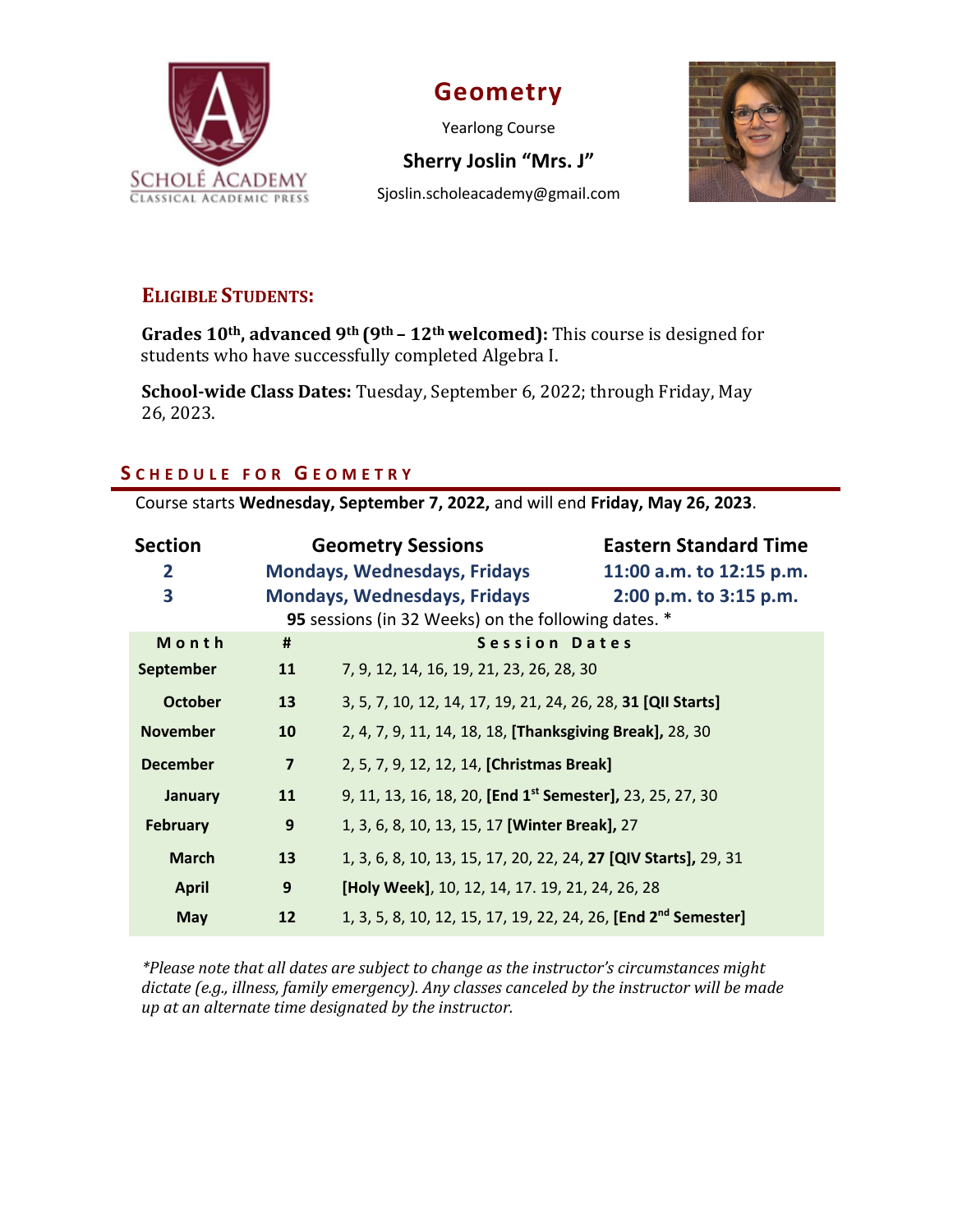

# **Geometry**

Yearlong Course



Sjoslin.scholeacademy@gmail.com



# **ELIGIBLE STUDENTS:**

**Grades 10th, advanced 9th (9th – 12th welcomed):** This course is designed for students who have successfully completed Algebra I.

**School-wide Class Dates:** Tuesday, September 6, 2022; through Friday, May 26, 2023. 

## **S CHEDULE FOR G EOMETRY**

Course starts **Wednesday, September 7, 2022,** and will end **Friday, May 26, 2023**.

| <b>Section</b>  |                                                     | <b>Geometry Sessions</b>                                                   | <b>Eastern Standard Time</b> |
|-----------------|-----------------------------------------------------|----------------------------------------------------------------------------|------------------------------|
| 2               |                                                     | <b>Mondays, Wednesdays, Fridays</b>                                        | 11:00 a.m. to 12:15 p.m.     |
| 3               |                                                     | <b>Mondays, Wednesdays, Fridays</b>                                        | 2:00 p.m. to 3:15 p.m.       |
|                 | 95 sessions (in 32 Weeks) on the following dates. * |                                                                            |                              |
| Month           | #                                                   | Session Dates                                                              |                              |
| September       | 11                                                  | 7, 9, 12, 14, 16, 19, 21, 23, 26, 28, 30                                   |                              |
| <b>October</b>  | 13                                                  | 3, 5, 7, 10, 12, 14, 17, 19, 21, 24, 26, 28, 31 [QII Starts]               |                              |
| <b>November</b> | 10                                                  | 2, 4, 7, 9, 11, 14, 18, 18, [Thanksgiving Break], 28, 30                   |                              |
| <b>December</b> | $\overline{7}$                                      | 2, 5, 7, 9, 12, 12, 14, [Christmas Break]                                  |                              |
| January         | 11                                                  | 9, 11, 13, 16, 18, 20, [End 1 <sup>st</sup> Semester], 23, 25, 27, 30      |                              |
| <b>February</b> | 9                                                   | 1, 3, 6, 8, 10, 13, 15, 17 [Winter Break], 27                              |                              |
| <b>March</b>    | 13                                                  | 1, 3, 6, 8, 10, 13, 15, 17, 20, 22, 24, 27 [QIV Starts], 29, 31            |                              |
| <b>April</b>    | 9                                                   | [Holy Week], 10, 12, 14, 17. 19, 21, 24, 26, 28                            |                              |
| <b>May</b>      | 12                                                  | 1, 3, 5, 8, 10, 12, 15, 17, 19, 22, 24, 26, [End 2 <sup>nd</sup> Semester] |                              |

*\*Please note that all dates are subject to change as the instructor's circumstances might* dictate (e.g., illness, family emergency). Any classes canceled by the instructor will be made *up at an alternate time designated by the instructor.*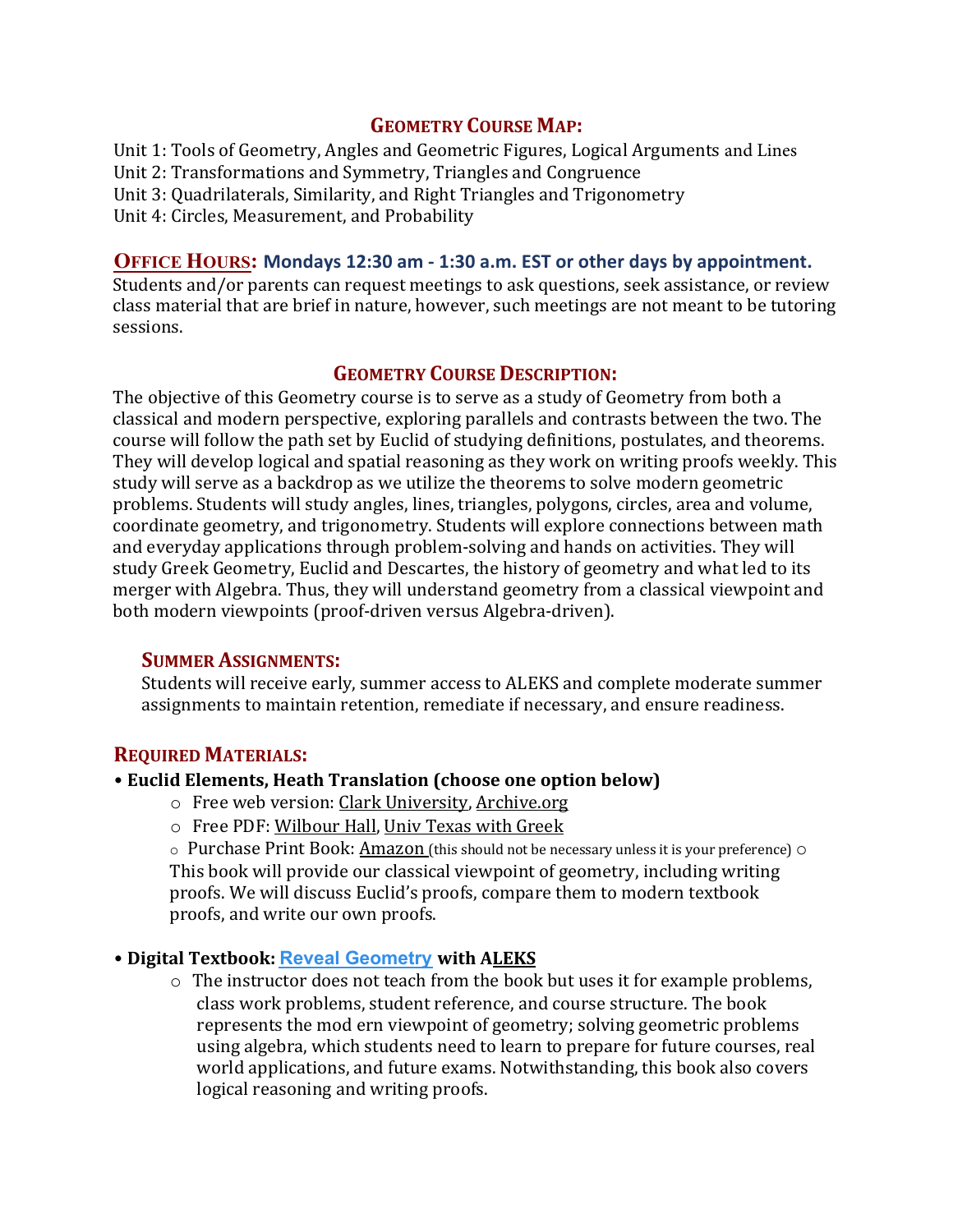## **GEOMETRY COURSE MAP:**

Unit 1: Tools of Geometry, Angles and Geometric Figures, Logical Arguments and Lines Unit 2: Transformations and Symmetry, Triangles and Congruence Unit 3: Quadrilaterals, Similarity, and Right Triangles and Trigonometry Unit 4: Circles, Measurement, and Probability

#### **OFFICE HOURS: Mondays 12:30 am - 1:30 a.m. EST or other days by appointment.**

Students and/or parents can request meetings to ask questions, seek assistance, or review class material that are brief in nature, however, such meetings are not meant to be tutoring sessions. 

#### **GEOMETRY COURSE DESCRIPTION:**

The objective of this Geometry course is to serve as a study of Geometry from both a classical and modern perspective, exploring parallels and contrasts between the two. The course will follow the path set by Euclid of studying definitions, postulates, and theorems. They will develop logical and spatial reasoning as they work on writing proofs weekly. This study will serve as a backdrop as we utilize the theorems to solve modern geometric problems. Students will study angles, lines, triangles, polygons, circles, area and volume, coordinate geometry, and trigonometry. Students will explore connections between math and everyday applications through problem-solving and hands on activities. They will study Greek Geometry, Euclid and Descartes, the history of geometry and what led to its merger with Algebra. Thus, they will understand geometry from a classical viewpoint and both modern viewpoints (proof-driven versus Algebra-driven).

#### **SUMMER ASSIGNMENTS:**

Students will receive early, summer access to ALEKS and complete moderate summer assignments to maintain retention, remediate if necessary, and ensure readiness.

### **REQUIRED MATERIALS:**

#### • **Euclid Elements, Heath Translation (choose one option below)**

- o Free web version: Clark [University,](https://mathcs.clarku.edu/~djoyce/elements/toc.html) Archive.org
- $\circ$  Free PDF: Wilbour Hall, Univ Texas with Greek

 $\circ$  Purchase Print Book: Amazon (this should not be necessary unless it is your preference)  $\circ$ This book will provide our classical viewpoint of geometry, including writing proofs. We will discuss Euclid's proofs, compare them to modern textbook proofs, and write our own proofs.

### • **Digital Textbook: [Reveal Geometry](https://www.mheducation.com/prek-12/program/microsites/MKTSP-GIP20M0/online-sampling-6-12.html) with [ALEKS](https://www.aleks.com)**

 $\circ$  The instructor does not teach from the book but uses it for example problems, class work problems, student reference, and course structure. The book represents the mod ern viewpoint of geometry; solving geometric problems using algebra, which students need to learn to prepare for future courses, real world applications, and future exams. Notwithstanding, this book also covers logical reasoning and writing proofs.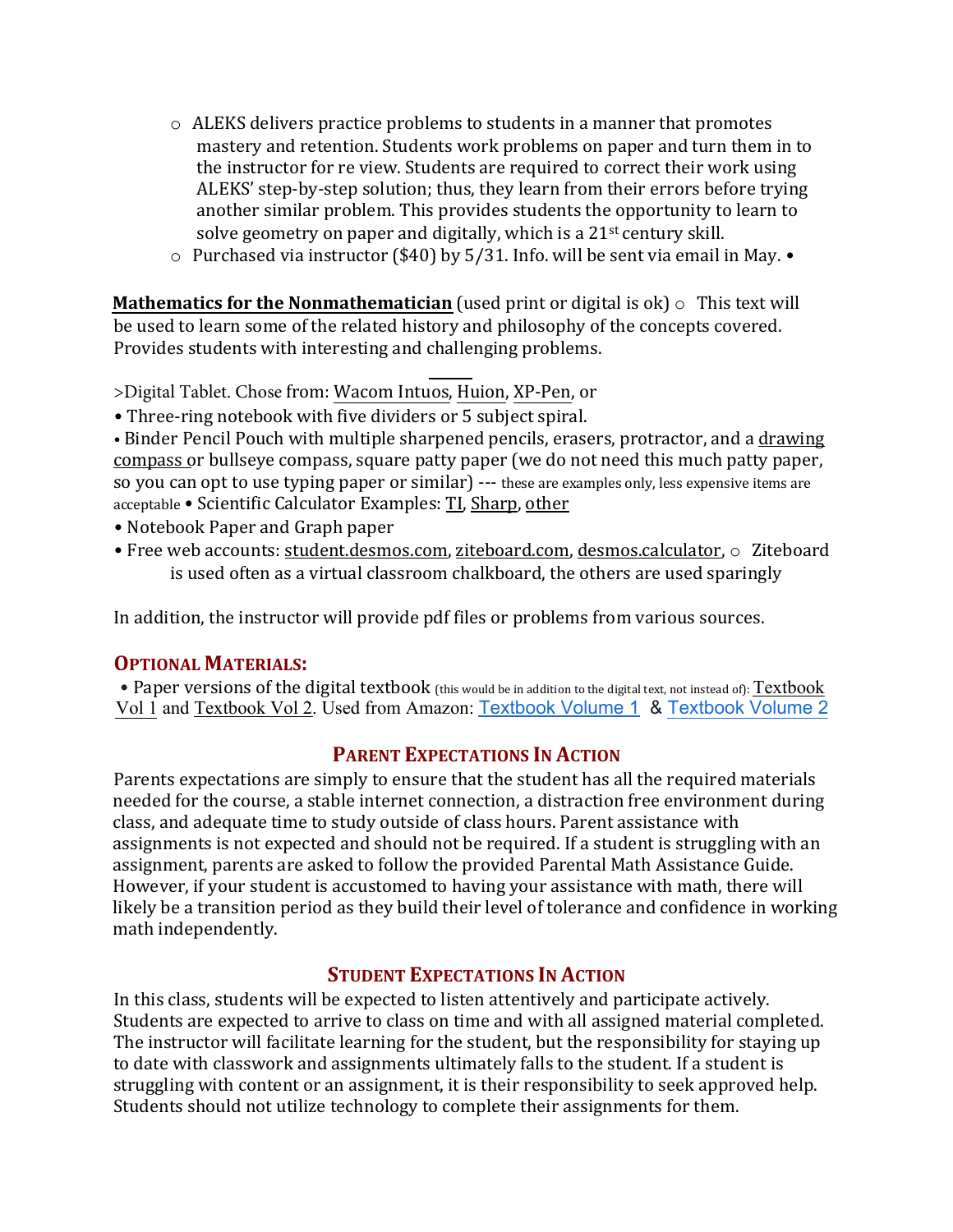- $\circ$  ALEKS delivers practice problems to students in a manner that promotes mastery and retention. Students work problems on paper and turn them in to the instructor for re view. Students are required to correct their work using ALEKS' step-by-step solution; thus, they learn from their errors before trying another similar problem. This provides students the opportunity to learn to solve geometry on paper and digitally, which is a  $21<sup>st</sup>$  century skill.
- $\circ$  Purchased via instructor (\$40) by 5/31. Info. will be sent via email in May.  $\bullet$

**Mathematics for the Nonmathematician** (used print or digital is  $ok$ )  $\circ$  This text will be used to learn some of the related history and philosophy of the concepts covered. Provides students with interesting and challenging problems.

>Digital Tablet. Chose from: Wacom Intuos, [Huion](https://www.amazon.com/Inspiroy-H640P-Graphics-Battery-Free-Sensitivity/dp/B075T6MTJX/ref=sr_1_1_sspa?crid=23ZG1NBBI8H8E&keywords=huion+tablet&qid=1643413206&sprefix=huiontablet%2Caps%2C119&sr=8-1-spons&psc=1&spLa=ZW5jcnlwdGVkUXVhbGlmaWVyPUEzS0gyNkFQUTJWMkczJmVuY3J5cHRlZElkPUEwNTg2NjY3MU1UWkdOSUdUQUg1VyZlbmNyeXB0ZWRBZElkPUEwNTY2NTUxMlo4TTFMSzk3UDlPTiZ3aWRnZXROYW1lPXNwX2F0ZiZhY3Rpb249Y2xpY2tSZWRpcmVjdCZkb05vdExvZ0NsaWNrPXRydWU=), XP-Pen, or

• Three-ring notebook with five dividers or 5 subject spiral.

• Binder Pencil Pouch with multiple sharpened pencils, erasers, protractor, and a drawing [compass](https://www.amazon.com/Mr-Professional-Geometry-Drafting-Woodworking/dp/B086R77B7Y/ref=sr_1_1_sspa?crid=3S4SUZAM54B3F&keywords=compass+for+geometry&qid=1643421175&sprefix=compass%2Caps%2C160&sr=8-1-spons&psc=1&spLa=ZW5jcnlwdGVkUXVhbGlmaWVyPUFTQ0tUSEc5QjhBUDEmZW5jcnlwdGVkSWQ9QTAwMzg3MDAzVUVSRkNFUzkyQzk0JmVuY3J5cHRlZEFkSWQ9QTA3OTg0OTYxVk5aREdOOEtOTkxOJndpZGdldE5hbWU9c3BfYXRmJmFjdGlvbj1jbGlja1JlZGlyZWN0JmRvTm90TG9nQ2xpY2s9dHJ1ZQ==) or bullseye compass, square patty paper (we do not need this much patty paper, so you can opt to use typing paper or similar) --- these are examples only, less expensive items are acceptable • Scientific Calculator Examples: [TI,](https://www.amazon.com/Texas-Instruments-Scientific-Calculator-Accents/dp/B00000JBNX/ref=sr_1_4?crid=1YR7Z1860L5N8&keywords=scientific%2Bcalculator&qid=1643413403&sprefix=scientific%2Bcalculator%2Caps%2C126&sr=8-4&th=1) [Sharp,](https://www.amazon.com/Casio-fx-300ESPLS2-Scientific-Calculator-Textbook/dp/B086Z71GQ3/ref=sr_1_5?crid=1YR7Z1860L5N8&keywords=scientific+calculator&qid=1643413403&sprefix=scientific+calculator%2Caps%2C126&sr=8-5) [other](https://www.amazon.com/s?k=scientific+calculator&crid=1YR7Z1860L5N8&sprefix=scientific+calculator%2Caps%2C126&ref=nb_sb_noss_1)

- Notebook Paper and Graph paper
- Free web accounts: [student.desmos.com,](https://student.desmos.com) [ziteboard.com](https://ziteboard.com), desmos.calculator,  $\circ$  Ziteboard is used often as a virtual classroom chalkboard, the others are used sparingly

In addition, the instructor will provide pdf files or problems from various sources.

## **OPTIONAL MATERIALS:**

• Paper versions of the digital textbook (this would be in addition to the digital text, not instead of): Textbook Vol 1 and Textbook Vol 2. Used from Amazon: [Textbook Volume 1](https://www.amazon.com/Geometry-Interactive-Student-MERRILL-GEOMETRY/dp/0076626016/ref=sr_1_10?crid=3RIHTBNQW09R6&keywords=reveal+math&qid=1643417758&s=books&sprefix=reveal+math%2Cstripbooks%2C74&sr=1-10) & [Textbook Volume 2](https://www.amazon.com/Geometry-Interactive-Student-MERRILL-GEOMETRY/dp/0078997496/ref=sr_1_10?crid=1DALTT7F5IHRV&keywords=reveal+math+geometry&qid=1643417899&s=books&sprefix=reveal+math+geometry%2Cstripbooks%2C74&sr=1-10)

## **PARENT EXPECTATIONS IN ACTION**

Parents expectations are simply to ensure that the student has all the required materials needed for the course, a stable internet connection, a distraction free environment during class, and adequate time to study outside of class hours. Parent assistance with assignments is not expected and should not be required. If a student is struggling with an assignment, parents are asked to follow the provided Parental Math Assistance Guide. However, if your student is accustomed to having your assistance with math, there will likely be a transition period as they build their level of tolerance and confidence in working math independently.

## **STUDENT EXPECTATIONS IN ACTION**

In this class, students will be expected to listen attentively and participate actively. Students are expected to arrive to class on time and with all assigned material completed. The instructor will facilitate learning for the student, but the responsibility for staying up to date with classwork and assignments ultimately falls to the student. If a student is struggling with content or an assignment, it is their responsibility to seek approved help. Students should not utilize technology to complete their assignments for them.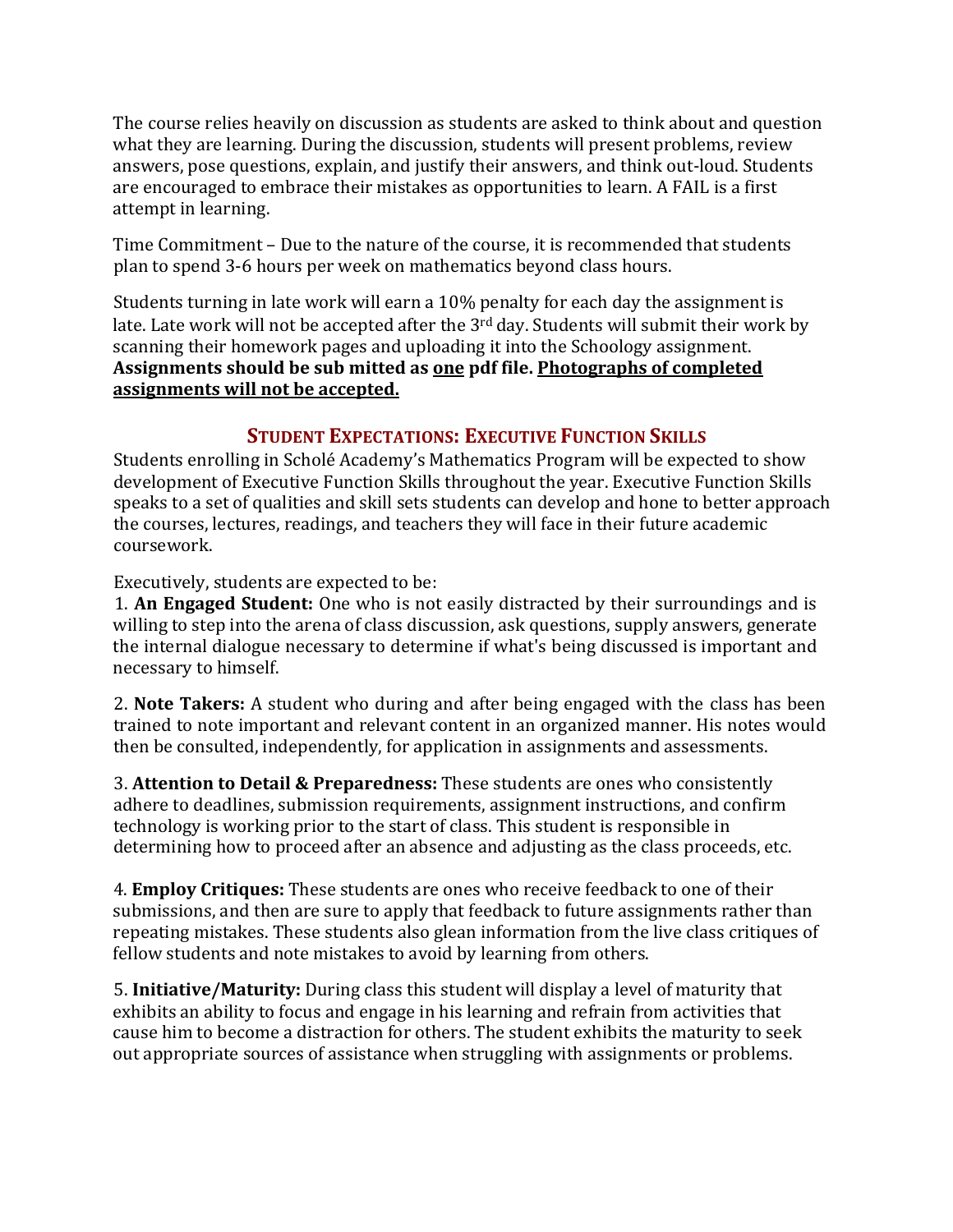The course relies heavily on discussion as students are asked to think about and question what they are learning. During the discussion, students will present problems, review answers, pose questions, explain, and justify their answers, and think out-loud. Students are encouraged to embrace their mistakes as opportunities to learn. A FAIL is a first attempt in learning.

Time Commitment – Due to the nature of the course, it is recommended that students plan to spend 3-6 hours per week on mathematics beyond class hours.

Students turning in late work will earn a 10% penalty for each day the assignment is late. Late work will not be accepted after the  $3<sup>rd</sup>$  day. Students will submit their work by scanning their homework pages and uploading it into the Schoology assignment. Assignments should be sub mitted as one pdf file. Photographs of completed assignments will not be accepted.

## **STUDENT EXPECTATIONS: EXECUTIVE FUNCTION SKILLS**

Students enrolling in Scholé Academy's Mathematics Program will be expected to show development of Executive Function Skills throughout the year. Executive Function Skills speaks to a set of qualities and skill sets students can develop and hone to better approach the courses, lectures, readings, and teachers they will face in their future academic coursework. 

Executively, students are expected to be:

1. **An Engaged Student:** One who is not easily distracted by their surroundings and is willing to step into the arena of class discussion, ask questions, supply answers, generate the internal dialogue necessary to determine if what's being discussed is important and necessary to himself.

2. **Note Takers:** A student who during and after being engaged with the class has been trained to note important and relevant content in an organized manner. His notes would then be consulted, independently, for application in assignments and assessments.

**3. Attention to Detail & Preparedness:** These students are ones who consistently adhere to deadlines, submission requirements, assignment instructions, and confirm technology is working prior to the start of class. This student is responsible in determining how to proceed after an absence and adjusting as the class proceeds, etc.

4. **Employ Critiques:** These students are ones who receive feedback to one of their submissions, and then are sure to apply that feedback to future assignments rather than repeating mistakes. These students also glean information from the live class critiques of fellow students and note mistakes to avoid by learning from others.

5. **Initiative/Maturity:** During class this student will display a level of maturity that exhibits an ability to focus and engage in his learning and refrain from activities that cause him to become a distraction for others. The student exhibits the maturity to seek out appropriate sources of assistance when struggling with assignments or problems.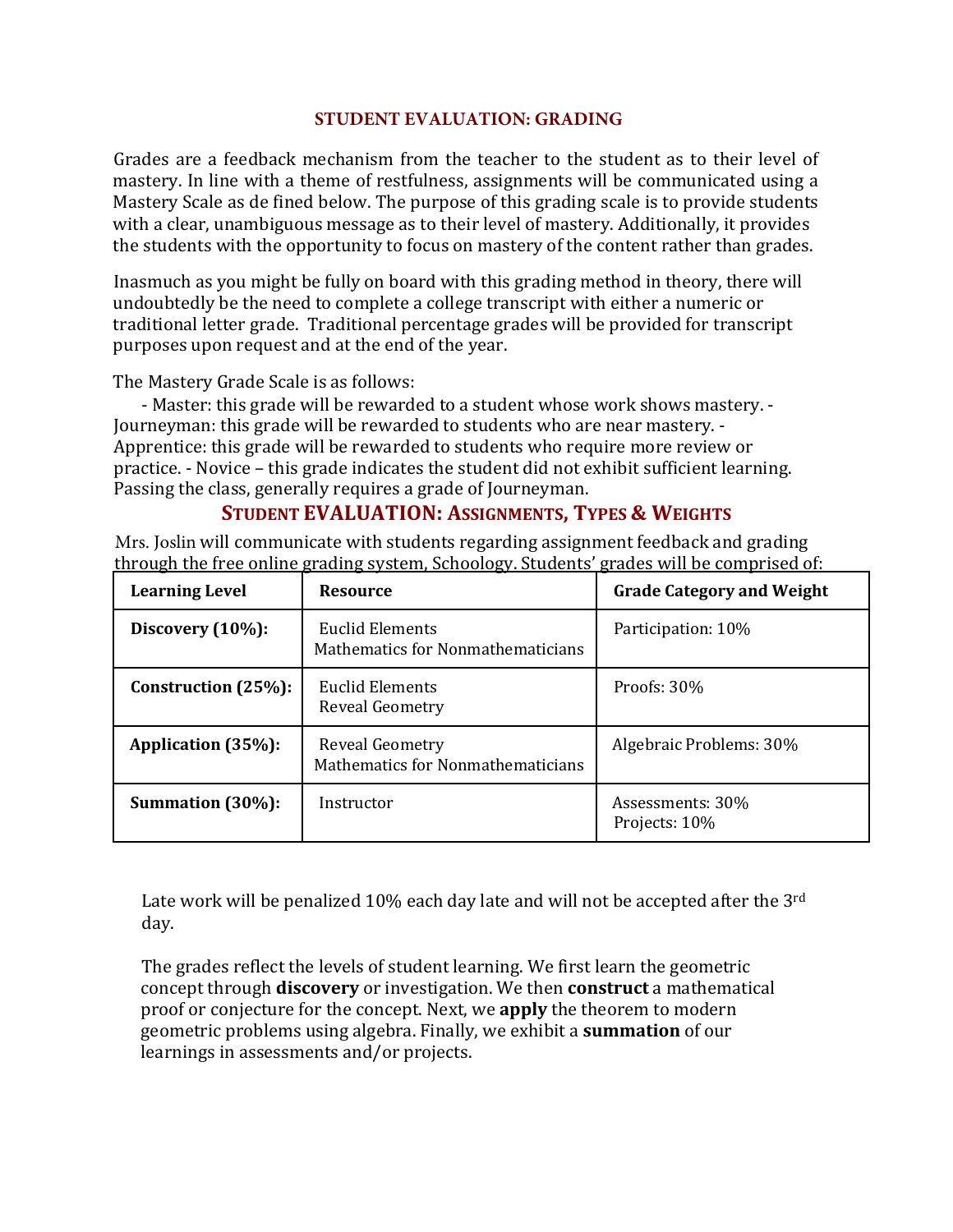#### **STUDENT EVALUATION: GRADING**

Grades are a feedback mechanism from the teacher to the student as to their level of mastery. In line with a theme of restfulness, assignments will be communicated using a Mastery Scale as de fined below. The purpose of this grading scale is to provide students with a clear, unambiguous message as to their level of mastery. Additionally, it provides the students with the opportunity to focus on mastery of the content rather than grades.

Inasmuch as you might be fully on board with this grading method in theory, there will undoubtedly be the need to complete a college transcript with either a numeric or traditional letter grade. Traditional percentage grades will be provided for transcript purposes upon request and at the end of the year.

The Mastery Grade Scale is as follows:

- Master: this grade will be rewarded to a student whose work shows mastery. -Journeyman: this grade will be rewarded to students who are near mastery. -Apprentice: this grade will be rewarded to students who require more review or practice. - Novice – this grade indicates the student did not exhibit sufficient learning. Passing the class, generally requires a grade of Journeyman.

## **STUDENT EVALUATION: ASSIGNMENTS, TYPES & WEIGHTS**

Mrs. Joslin will communicate with students regarding assignment feedback and grading through the free online grading system, Schoology. Students' grades will be comprised of:

| <b>Learning Level</b>  | <b>Resource</b>                                             | <b>Grade Category and Weight</b>  |
|------------------------|-------------------------------------------------------------|-----------------------------------|
| Discovery $(10\%)$ :   | Euclid Elements<br>Mathematics for Nonmathematicians        | Participation: 10%                |
| Construction $(25%)$ : | Euclid Elements<br>Reveal Geometry                          | Proofs: $30\%$                    |
| Application (35%):     | Reveal Geometry<br><b>Mathematics for Nonmathematicians</b> | Algebraic Problems: 30%           |
| Summation (30%):       | Instructor                                                  | Assessments: 30%<br>Projects: 10% |

Late work will be penalized  $10\%$  each day late and will not be accepted after the 3<sup>rd</sup> day. 

The grades reflect the levels of student learning. We first learn the geometric concept through **discovery** or investigation. We then **construct** a mathematical proof or conjecture for the concept. Next, we **apply** the theorem to modern geometric problems using algebra. Finally, we exhibit a **summation** of our learnings in assessments and/or projects.